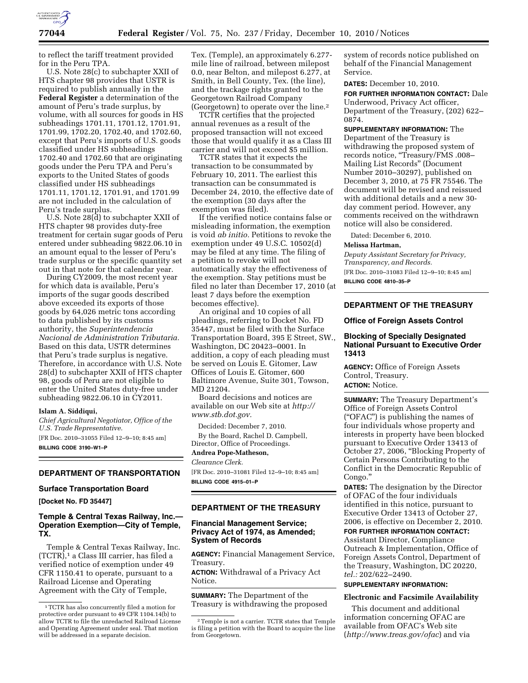

to reflect the tariff treatment provided for in the Peru TPA.

U.S. Note 28(c) to subchapter XXII of HTS chapter 98 provides that USTR is required to publish annually in the **Federal Register** a determination of the amount of Peru's trade surplus, by volume, with all sources for goods in HS subheadings 1701.11, 1701.12, 1701.91, 1701.99, 1702.20, 1702.40, and 1702.60, except that Peru's imports of U.S. goods classified under HS subheadings 1702.40 and 1702.60 that are originating goods under the Peru TPA and Peru's exports to the United States of goods classified under HS subheadings 1701.11, 1701.12, 1701.91, and 1701.99 are not included in the calculation of Peru's trade surplus.

U.S. Note 28(d) to subchapter XXII of HTS chapter 98 provides duty-free treatment for certain sugar goods of Peru entered under subheading 9822.06.10 in an amount equal to the lesser of Peru's trade surplus or the specific quantity set out in that note for that calendar year.

During CY2009, the most recent year for which data is available, Peru's imports of the sugar goods described above exceeded its exports of those goods by 64,026 metric tons according to data published by its customs authority, the *Superintendencia Nacional de Administration Tributaria.*  Based on this data, USTR determines that Peru's trade surplus is negative. Therefore, in accordance with U.S. Note 28(d) to subchapter XXII of HTS chapter 98, goods of Peru are not eligible to enter the United States duty-free under subheading 9822.06.10 in CY2011.

#### **Islam A. Siddiqui,**

*Chief Agricultural Negotiator, Office of the U.S. Trade Representative.* 

[FR Doc. 2010–31055 Filed 12–9–10; 8:45 am] **BILLING CODE 3190–W1–P** 

#### **DEPARTMENT OF TRANSPORTATION**

#### **Surface Transportation Board**

**[Docket No. FD 35447]** 

# **Temple & Central Texas Railway, Inc.— Operation Exemption—City of Temple, TX.**

Temple & Central Texas Railway, Inc. (TCTR),1 a Class III carrier, has filed a verified notice of exemption under 49 CFR 1150.41 to operate, pursuant to a Railroad License and Operating Agreement with the City of Temple,

Tex. (Temple), an approximately 6.277 mile line of railroad, between milepost 0.0, near Belton, and milepost 6.277, at Smith, in Bell County, Tex. (the line), and the trackage rights granted to the Georgetown Railroad Company (Georgetown) to operate over the line.2

TCTR certifies that the projected annual revenues as a result of the proposed transaction will not exceed those that would qualify it as a Class III carrier and will not exceed \$5 million.

TCTR states that it expects the transaction to be consummated by February 10, 2011. The earliest this transaction can be consummated is December 24, 2010, the effective date of the exemption (30 days after the exemption was filed).

If the verified notice contains false or misleading information, the exemption is void *ab initio.* Petitions to revoke the exemption under 49 U.S.C. 10502(d) may be filed at any time. The filing of a petition to revoke will not automatically stay the effectiveness of the exemption. Stay petitions must be filed no later than December 17, 2010 (at least 7 days before the exemption becomes effective).

An original and 10 copies of all pleadings, referring to Docket No. FD 35447, must be filed with the Surface Transportation Board, 395 E Street, SW., Washington, DC 20423–0001. In addition, a copy of each pleading must be served on Louis E. Gitomer, Law Offices of Louis E. Gitomer, 600 Baltimore Avenue, Suite 301, Towson, MD 21204.

Board decisions and notices are available on our Web site at *[http://](http://www.stb.dot.gov) [www.stb.dot.gov.](http://www.stb.dot.gov)* 

Decided: December 7, 2010. By the Board, Rachel D. Campbell, Director, Office of Proceedings.

### **Andrea Pope-Matheson,**

*Clearance Clerk.* 

[FR Doc. 2010–31081 Filed 12–9–10; 8:45 am] **BILLING CODE 4915–01–P** 

## **DEPARTMENT OF THE TREASURY**

## **Financial Management Service; Privacy Act of 1974, as Amended; System of Records**

**AGENCY:** Financial Management Service, Treasury.

**ACTION:** Withdrawal of a Privacy Act Notice.

**SUMMARY:** The Department of the Treasury is withdrawing the proposed system of records notice published on behalf of the Financial Management Service.

**DATES:** December 10, 2010.

**FOR FURTHER INFORMATION CONTACT:** Dale Underwood, Privacy Act officer, Department of the Treasury, (202) 622– 0874.

**SUPPLEMENTARY INFORMATION:** The Department of the Treasury is withdrawing the proposed system of records notice, ''Treasury/FMS .008– Mailing List Records'' (Document Number 2010–30297), published on December 3, 2010, at 75 FR 75546. The document will be revised and reissued with additional details and a new 30 day comment period. However, any comments received on the withdrawn notice will also be considered.

Dated: December 6, 2010.

#### **Melissa Hartman,**

*Deputy Assistant Secretary for Privacy, Transparency, and Records.*  [FR Doc. 2010–31083 Filed 12–9–10; 8:45 am]

**BILLING CODE 4810–35–P** 

## **DEPARTMENT OF THE TREASURY**

#### **Office of Foreign Assets Control**

## **Blocking of Specially Designated National Pursuant to Executive Order 13413**

**AGENCY:** Office of Foreign Assets Control, Treasury. **ACTION:** Notice.

**SUMMARY:** The Treasury Department's Office of Foreign Assets Control (''OFAC'') is publishing the names of four individuals whose property and interests in property have been blocked pursuant to Executive Order 13413 of October 27, 2006, ''Blocking Property of Certain Persons Contributing to the Conflict in the Democratic Republic of Congo.''

**DATES:** The designation by the Director of OFAC of the four individuals identified in this notice, pursuant to Executive Order 13413 of October 27, 2006, is effective on December 2, 2010.

#### **FOR FURTHER INFORMATION CONTACT:**

Assistant Director, Compliance Outreach & Implementation, Office of Foreign Assets Control, Department of the Treasury, Washington, DC 20220, *tel.:* 202/622–2490.

## **SUPPLEMENTARY INFORMATION:**

### **Electronic and Facsimile Availability**

This document and additional information concerning OFAC are available from OFAC's Web site (*<http://www.treas.gov/ofac>*) and via

<sup>1</sup>TCTR has also concurrently filed a motion for protective order pursuant to 49 CFR 1104.14(b) to allow TCTR to file the unredacted Railroad License and Operating Agreement under seal. That motion will be addressed in a separate decision.

<sup>2</sup>Temple is not a carrier. TCTR states that Temple is filing a petition with the Board to acquire the line from Georgetown.